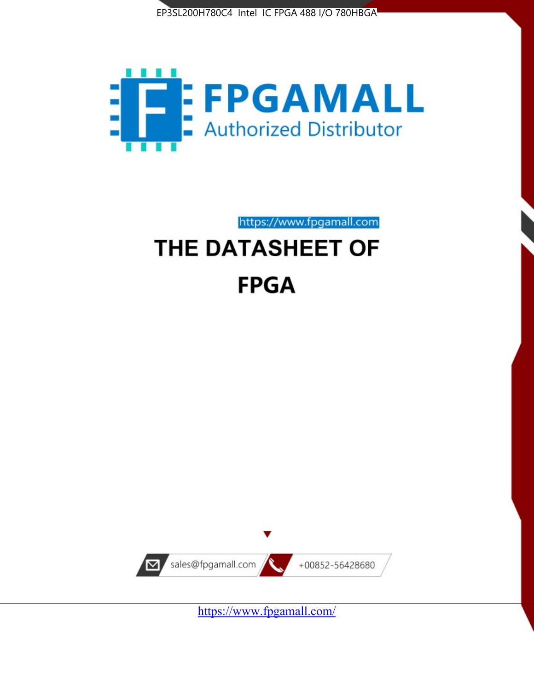



https://www.fpgamall.com

# THE DATASHEET OF **FPGA**



<https://www.fpgamall.com/>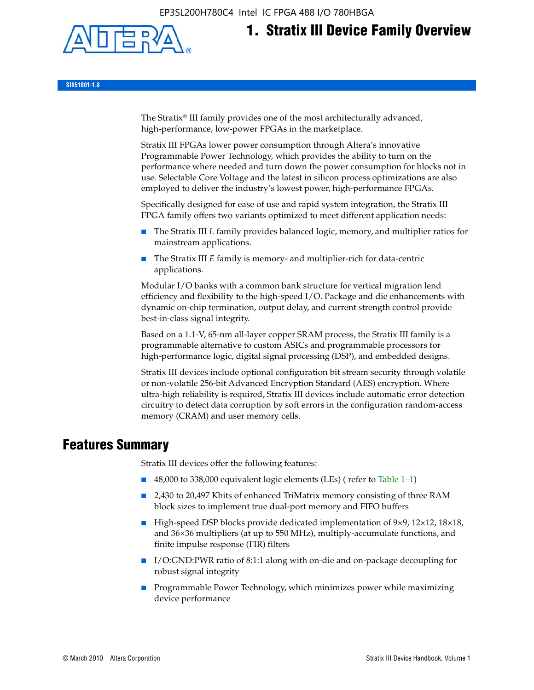EP3SL200H780C4 Intel IC FPGA 488 I/O 780HBGA



# **1. Stratix III Device Family Overview**

**SIII51001-1.8**

The Stratix® III family provides one of the most architecturally advanced, high-performance, low-power FPGAs in the marketplace.

Stratix III FPGAs lower power consumption through Altera's innovative Programmable Power Technology, which provides the ability to turn on the performance where needed and turn down the power consumption for blocks not in use. Selectable Core Voltage and the latest in silicon process optimizations are also employed to deliver the industry's lowest power, high-performance FPGAs.

Specifically designed for ease of use and rapid system integration, the Stratix III FPGA family offers two variants optimized to meet different application needs:

- The Stratix III *L* family provides balanced logic, memory, and multiplier ratios for mainstream applications.
- The Stratix III *E* family is memory- and multiplier-rich for data-centric applications.

Modular I/O banks with a common bank structure for vertical migration lend efficiency and flexibility to the high-speed I/O. Package and die enhancements with dynamic on-chip termination, output delay, and current strength control provide best-in-class signal integrity.

Based on a 1.1-V, 65-nm all-layer copper SRAM process, the Stratix III family is a programmable alternative to custom ASICs and programmable processors for high-performance logic, digital signal processing (DSP), and embedded designs.

Stratix III devices include optional configuration bit stream security through volatile or non-volatile 256-bit Advanced Encryption Standard (AES) encryption. Where ultra-high reliability is required, Stratix III devices include automatic error detection circuitry to detect data corruption by soft errors in the configuration random-access memory (CRAM) and user memory cells.

# **Features Summary**

Stratix III devices offer the following features:

- 48,000 to 338,000 equivalent logic elements (LEs) (refer to Table 1–1)
- 2,430 to 20,497 Kbits of enhanced TriMatrix memory consisting of three RAM block sizes to implement true dual-port memory and FIFO buffers
- High-speed DSP blocks provide dedicated implementation of 9×9, 12×12, 18×18, and 36×36 multipliers (at up to 550 MHz), multiply-accumulate functions, and finite impulse response (FIR) filters
- I/O:GND:PWR ratio of 8:1:1 along with on-die and on-package decoupling for robust signal integrity
- Programmable Power Technology, which minimizes power while maximizing device performance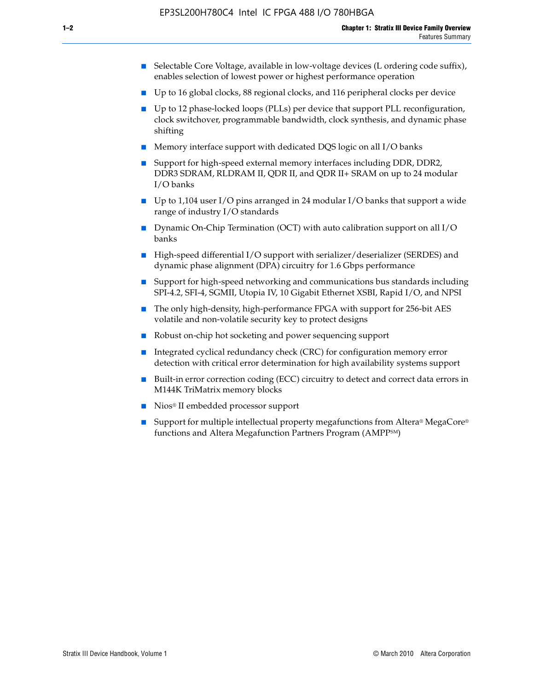- Selectable Core Voltage, available in low-voltage devices (L ordering code suffix), enables selection of lowest power or highest performance operation
- Up to 16 global clocks, 88 regional clocks, and 116 peripheral clocks per device
- Up to 12 phase-locked loops (PLLs) per device that support PLL reconfiguration, clock switchover, programmable bandwidth, clock synthesis, and dynamic phase shifting
- Memory interface support with dedicated DQS logic on all I/O banks
- Support for high-speed external memory interfaces including DDR, DDR2, DDR3 SDRAM, RLDRAM II, QDR II, and QDR II+ SRAM on up to 24 modular I/O banks
- Up to 1,104 user I/O pins arranged in 24 modular I/O banks that support a wide range of industry I/O standards
- Dynamic On-Chip Termination (OCT) with auto calibration support on all  $I/O$ banks
- High-speed differential I/O support with serializer/deserializer (SERDES) and dynamic phase alignment (DPA) circuitry for 1.6 Gbps performance
- Support for high-speed networking and communications bus standards including SPI-4.2, SFI-4, SGMII, Utopia IV, 10 Gigabit Ethernet XSBI, Rapid I/O, and NPSI
- The only high-density, high-performance FPGA with support for 256-bit AES volatile and non-volatile security key to protect designs
- Robust on-chip hot socketing and power sequencing support
- Integrated cyclical redundancy check (CRC) for configuration memory error detection with critical error determination for high availability systems support
- Built-in error correction coding (ECC) circuitry to detect and correct data errors in M144K TriMatrix memory blocks
- Nios<sup>®</sup> II embedded processor support
- Support for multiple intellectual property megafunctions from Altera® MegaCore® functions and Altera Megafunction Partners Program (AMPPSM)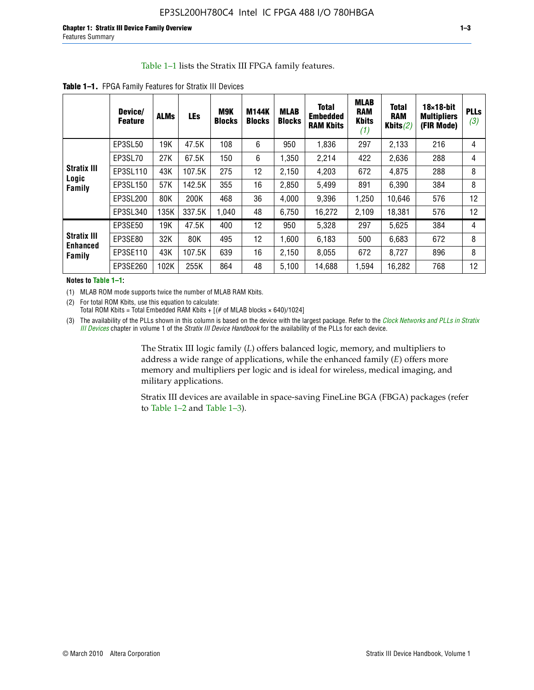#### Table 1–1 lists the Stratix III FPGA family features.

|                           | Device/<br><b>Feature</b> | <b>ALMs</b> | <b>LEs</b> | <b>M9K</b><br><b>Blocks</b> | <b>M144K</b><br><b>Blocks</b> | <b>MLAB</b><br><b>Blocks</b> | <b>Total</b><br><b>Embedded</b><br><b>RAM Kbits</b> | <b>MLAB</b><br><b>RAM</b><br><b>Kbits</b><br>(1) | <b>Total</b><br><b>RAM</b><br>Kbits $(2)$ | $18\times18$ -bit<br><b>Multipliers</b><br>(FIR Mode) | <b>PLLs</b><br>(3) |
|---------------------------|---------------------------|-------------|------------|-----------------------------|-------------------------------|------------------------------|-----------------------------------------------------|--------------------------------------------------|-------------------------------------------|-------------------------------------------------------|--------------------|
|                           | EP3SL50                   | 19K         | 47.5K      | 108                         | 6                             | 950                          | 1,836                                               | 297                                              | 2,133                                     | 216                                                   | 4                  |
|                           | EP3SL70                   | 27K         | 67.5K      | 150                         | 6                             | 1,350                        | 2,214                                               | 422                                              | 2,636                                     | 288                                                   | 4                  |
| <b>Stratix III</b>        | EP3SL110                  | 43K         | 107.5K     | 275                         | 12                            | 2,150                        | 4,203                                               | 672                                              | 4,875                                     | 288                                                   | 8                  |
| Logic<br>Family           | EP3SL150                  | 57K         | 142.5K     | 355                         | 16                            | 2,850                        | 5,499                                               | 891                                              | 6,390                                     | 384                                                   | 8                  |
|                           | EP3SL200                  | 80K         | 200K       | 468                         | 36                            | 4,000                        | 9,396                                               | 1,250                                            | 10,646                                    | 576                                                   | 12                 |
|                           | EP3SL340                  | 135K        | 337.5K     | 1.040                       | 48                            | 6,750                        | 16,272                                              | 2,109                                            | 18,381                                    | 576                                                   | 12                 |
|                           | EP3SE50                   | 19K         | 47.5K      | 400                         | 12                            | 950                          | 5,328                                               | 297                                              | 5,625                                     | 384                                                   | 4                  |
| <b>Stratix III</b>        | EP3SE80                   | 32K         | 80K        | 495                         | 12                            | 1,600                        | 6,183                                               | 500                                              | 6,683                                     | 672                                                   | 8                  |
| <b>Enhanced</b><br>Family | EP3SE110                  | 43K         | 107.5K     | 639                         | 16                            | 2,150                        | 8,055                                               | 672                                              | 8,727                                     | 896                                                   | 8                  |
|                           | EP3SE260                  | 102K        | 255K       | 864                         | 48                            | 5,100                        | 14,688                                              | 1,594                                            | 16,282                                    | 768                                                   | 12                 |

**Table 1–1.** FPGA Family Features for Stratix III Devices

**Notes to Table 1–1:**

(1) MLAB ROM mode supports twice the number of MLAB RAM Kbits.

(2) For total ROM Kbits, use this equation to calculate: Total ROM Kbits = Total Embedded RAM Kbits +  $[(# of MLAB blocks × 640)/1024]$ 

(3) The availability of the PLLs shown in this column is based on the device with the largest package. Refer to the *[Clock Networks and PLLs in Stratix](http://www.altera.com/literature/hb/stx3/stx3_siii51006.pdf)  [III Devices](http://www.altera.com/literature/hb/stx3/stx3_siii51006.pdf)* chapter in volume 1 of the *Stratix III Device Handbook* for the availability of the PLLs for each device.

> The Stratix III logic family (*L*) offers balanced logic, memory, and multipliers to address a wide range of applications, while the enhanced family (*E*) offers more memory and multipliers per logic and is ideal for wireless, medical imaging, and military applications.

Stratix III devices are available in space-saving FineLine BGA (FBGA) packages (refer to Table 1–2 and Table 1–3).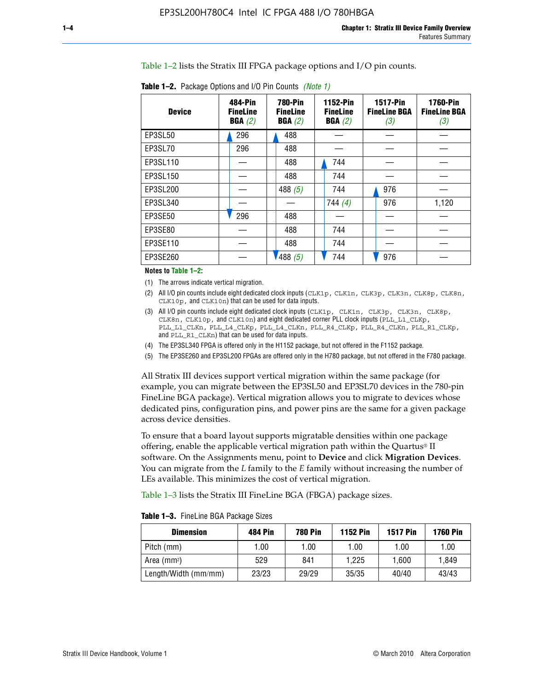Table 1–2 lists the Stratix III FPGA package options and I/O pin counts.

| <b>Device</b> | 484-Pin<br><b>FineLine</b><br>BGA(2) | <b>780-Pin</b><br><b>FineLine</b><br>BGA(2) | 1152-Pin<br><b>FineLine</b><br>BGA(2) | <b>1517-Pin</b><br><b>FineLine BGA</b><br>(3) | <b>1760-Pin</b><br><b>FineLine BGA</b><br>(3) |
|---------------|--------------------------------------|---------------------------------------------|---------------------------------------|-----------------------------------------------|-----------------------------------------------|
| EP3SL50       | 296                                  | 488                                         |                                       |                                               |                                               |
| EP3SL70       | 296                                  | 488                                         |                                       |                                               |                                               |
| EP3SL110      |                                      | 488                                         | 744                                   |                                               |                                               |
| EP3SL150      |                                      | 488                                         | 744                                   |                                               |                                               |
| EP3SL200      |                                      | 488 $(5)$                                   | 744                                   | 976                                           |                                               |
| EP3SL340      |                                      |                                             | 744(4)                                | 976                                           | 1,120                                         |
| EP3SE50       | 296                                  | 488                                         |                                       |                                               |                                               |
| EP3SE80       |                                      | 488                                         | 744                                   |                                               |                                               |
| EP3SE110      |                                      | 488                                         | 744                                   |                                               |                                               |
| EP3SE260      |                                      | 1488(5)                                     | 744                                   | 976                                           |                                               |

**Table 1–2.** Package Options and I/O Pin Counts *(Note 1)*

**Notes to Table 1–2:**

(1) The arrows indicate vertical migration.

- (2) All I/O pin counts include eight dedicated clock inputs (CLK1p, CLK1n, CLK3p, CLK3n, CLK8p, CLK8n, CLK10p, and CLK10n) that can be used for data inputs.
- (3) All I/O pin counts include eight dedicated clock inputs (CLK1p, CLK1n, CLK3p, CLK3n, CLK8p, CLK8n, CLK10p, and CLK10n) and eight dedicated corner PLL clock inputs (PLL\_L1\_CLKp, PLL\_L1\_CLKn, PLL\_L4\_CLKp, PLL\_L4\_CLKn, PLL\_R4\_CLKp, PLL\_R4\_CLKn, PLL\_R1\_CLKp, and PLL\_R1\_CLKn) that can be used for data inputs.
- (4) The EP3SL340 FPGA is offered only in the H1152 package, but not offered in the F1152 package.
- (5) The EP3SE260 and EP3SL200 FPGAs are offered only in the H780 package, but not offered in the F780 package.

All Stratix III devices support vertical migration within the same package (for example, you can migrate between the EP3SL50 and EP3SL70 devices in the 780-pin FineLine BGA package). Vertical migration allows you to migrate to devices whose dedicated pins, configuration pins, and power pins are the same for a given package across device densities.

To ensure that a board layout supports migratable densities within one package offering, enable the applicable vertical migration path within the Quartus® II software. On the Assignments menu, point to **Device** and click **Migration Devices**. You can migrate from the *L* family to the *E* family without increasing the number of LEs available. This minimizes the cost of vertical migration.

Table 1–3 lists the Stratix III FineLine BGA (FBGA) package sizes.

|  |  | <b>Table 1-3.</b> FineLine BGA Package Sizes |
|--|--|----------------------------------------------|
|--|--|----------------------------------------------|

| <b>Dimension</b>     | <b>484 Pin</b> | 780 Pin | <b>1152 Pin</b> | <b>1517 Pin</b> | <b>1760 Pin</b> |
|----------------------|----------------|---------|-----------------|-----------------|-----------------|
| Pitch (mm)           | 1.00           | 1.00    | 1.00            | 1.00            | 1.00            |
| Area $(mm^2)$        | 529            | 841     | 1.225           | 1.600           | 1.849           |
| Length/Width (mm/mm) | 23/23          | 29/29   | 35/35           | 40/40           | 43/43           |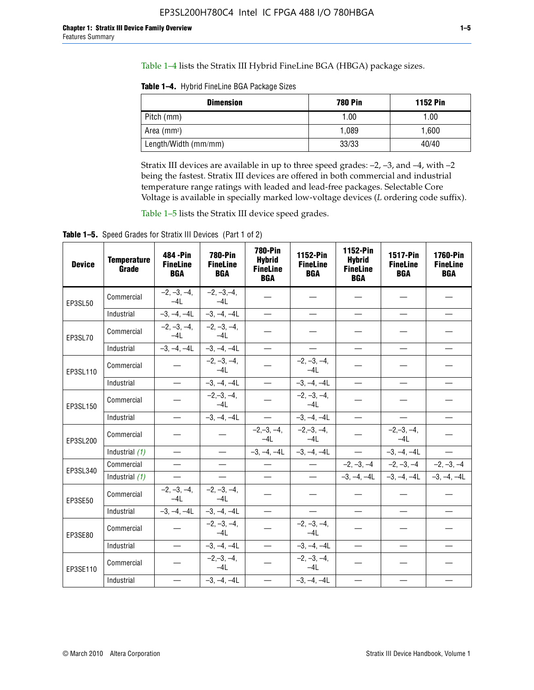Table 1–4 lists the Stratix III Hybrid FineLine BGA (HBGA) package sizes.

**Table 1–4.** Hybrid FineLine BGA Package Sizes

| <b>Dimension</b>        | <b>780 Pin</b> | <b>1152 Pin</b> |
|-------------------------|----------------|-----------------|
| Pitch (mm)              | 1.00           | 1.00            |
| Area (mm <sup>2</sup> ) | 1.089          | 1.600           |
| Length/Width (mm/mm)    | 33/33          | 40/40           |

Stratix III devices are available in up to three speed grades: –2, –3, and –4, with –2 being the fastest. Stratix III devices are offered in both commercial and industrial temperature range ratings with leaded and lead-free packages. Selectable Core Voltage is available in specially marked low-voltage devices (*L* ordering code suffix).

Table 1–5 lists the Stratix III device speed grades.

Table 1-5. Speed Grades for Stratix III Devices (Part 1 of 2)

| <b>Device</b> | <b>Temperature</b><br>Grade | 484 - Pin<br><b>FineLine</b><br><b>BGA</b> | <b>780-Pin</b><br><b>FineLine</b><br><b>BGA</b> | <b>780-Pin</b><br><b>Hybrid</b><br><b>FineLine</b><br><b>BGA</b> | 1152-Pin<br><b>FineLine</b><br><b>BGA</b> | 1152-Pin<br><b>Hybrid</b><br><b>FineLine</b><br><b>BGA</b> | 1517-Pin<br><b>FineLine</b><br><b>BGA</b> | 1760-Pin<br><b>FineLine</b><br><b>BGA</b> |
|---------------|-----------------------------|--------------------------------------------|-------------------------------------------------|------------------------------------------------------------------|-------------------------------------------|------------------------------------------------------------|-------------------------------------------|-------------------------------------------|
| EP3SL50       | Commercial                  | $-2, -3, -4,$<br>$-4L$                     | $-2, -3, -4,$<br>$-4L$                          |                                                                  |                                           |                                                            |                                           |                                           |
|               | Industrial                  | $-3, -4, -4L$                              | $-3, -4, -4L$                                   | $\equiv$                                                         | $\equiv$                                  | $\equiv$                                                   | $\equiv$                                  | $\equiv$                                  |
| EP3SL70       | Commercial                  | $-2, -3, -4,$<br>$-41$                     | $-2, -3, -4,$<br>$-41$                          |                                                                  |                                           |                                                            |                                           |                                           |
|               | Industrial                  | $-3, -4, -4L$                              | $-3, -4, -4L$                                   | $\equiv$                                                         | $\overline{\phantom{0}}$                  | $\overline{\phantom{0}}$                                   | $\overline{\phantom{0}}$                  | $\overline{\phantom{0}}$                  |
| EP3SL110      | Commercial                  |                                            | $-2, -3, -4,$<br>$-4L$                          |                                                                  | $-2, -3, -4,$<br>$-4L$                    |                                                            |                                           |                                           |
|               | Industrial                  | $\equiv$                                   | $-3, -4, -4L$                                   | $\frac{1}{1}$                                                    | $-3, -4, -4L$                             | $\frac{1}{2}$                                              | $\equiv$                                  | $\overline{\phantom{0}}$                  |
| EP3SL150      | Commercial                  |                                            | $-2, -3, -4,$<br>$-41$                          |                                                                  | $-2, -3, -4,$<br>$-41$                    |                                                            |                                           |                                           |
|               | Industrial                  |                                            | $-3, -4, -4L$                                   | $\equiv$                                                         | $-3, -4, -4L$                             |                                                            | $\qquad \qquad -$                         | $\equiv$                                  |
| EP3SL200      | Commercial                  |                                            |                                                 | $-2, -3, -4,$<br>$-4L$                                           | $-2, -3, -4,$<br>$-4L$                    |                                                            | $-2,-3,-4,$<br>$-4L$                      |                                           |
|               | Industrial (1)              | $\equiv$                                   | $\equiv$                                        | $-3, -4, -4L$                                                    | $-3, -4, -4L$                             | $\frac{1}{2}$                                              | $-3, -4, -4L$                             | $\overline{\phantom{0}}$                  |
| EP3SL340      | Commercial                  | $\equiv$                                   | $\qquad \qquad$                                 | $\overbrace{\phantom{12322111}}$                                 | $\overline{\phantom{m}}$                  |                                                            | $-2, -3, -4$ $-2, -3, -4$                 | $-2, -3, -4$                              |
|               | Industrial (1)              | $\overline{\phantom{m}}$                   | $\equiv$                                        | $\equiv$                                                         | $-$                                       |                                                            | $-3, -4, -4$ $-4$ $-3, -4, -4$            | $-3, -4, -4L$                             |
| EP3SE50       | Commercial                  | $-2, -3, -4,$<br>$-4L$                     | $-2, -3, -4,$<br>$-4L$                          |                                                                  |                                           |                                                            |                                           |                                           |
|               | Industrial                  | $-3, -4, -4L$                              | $-3, -4, -4L$                                   | $\equiv$                                                         | $\overline{\phantom{0}}$                  |                                                            |                                           | $\overline{\phantom{0}}$                  |
| EP3SE80       | Commercial                  |                                            | $-2, -3, -4,$<br>$-41$                          |                                                                  | $-2, -3, -4,$<br>$-41$                    |                                                            |                                           |                                           |
|               | Industrial                  | $\overline{\phantom{m}}$                   | $-3, -4, -4L$                                   | $\overbrace{\phantom{1232211}}$                                  | $-3, -4, -4L$                             |                                                            | $\equiv$                                  |                                           |
| EP3SE110      | Commercial                  |                                            | $-2, -3, -4,$<br>$-4L$                          |                                                                  | $-2, -3, -4,$<br>$-41$                    |                                                            |                                           |                                           |
|               | Industrial                  |                                            | $-3, -4, -4L$                                   | $\overline{\phantom{0}}$                                         | $-3, -4, -4L$                             |                                                            |                                           |                                           |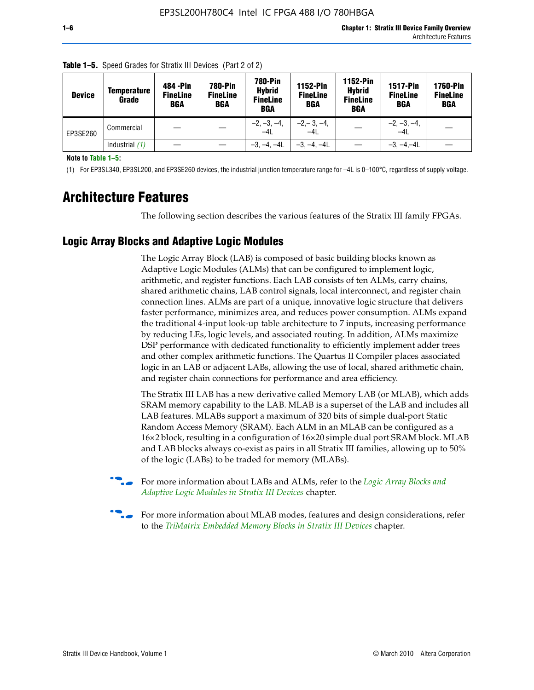| <b>Device</b> | Temperature<br>Grade | 484 - Pin<br><b>FineLine</b><br><b>BGA</b> | <b>780-Pin</b><br><b>FineLine</b><br>BGA | 780-Pin<br><b>Hybrid</b><br><b>FineLine</b><br><b>BGA</b> | <b>1152-Pin</b><br><b>FineLine</b><br><b>BGA</b> | 1152-Pin<br><b>Hybrid</b><br><b>FineLine</b><br><b>BGA</b> | <b>1517-Pin</b><br><b>FineLine</b><br>BGA | <b>1760-Pin</b><br><b>FineLine</b><br>BGA |
|---------------|----------------------|--------------------------------------------|------------------------------------------|-----------------------------------------------------------|--------------------------------------------------|------------------------------------------------------------|-------------------------------------------|-------------------------------------------|
| EP3SE260      | Commercial           |                                            |                                          | $-2, -3, -4,$<br>$-4L$                                    | $-2, -3, -4,$<br>$-4L$                           |                                                            | $-2, -3, -4,$<br>$-4L$                    |                                           |
|               | Industrial $(1)$     |                                            |                                          | $-3, -4, -4L$                                             | $-3, -4, -4L$                                    |                                                            | $-3, -4, -4L$                             |                                           |

**Table 1–5.** Speed Grades for Stratix III Devices (Part 2 of 2)

**Note to Table 1–5:**

(1) For EP3SL340, EP3SL200, and EP3SE260 devices, the industrial junction temperature range for –4L is 0–100°C, regardless of supply voltage.

# **Architecture Features**

The following section describes the various features of the Stratix III family FPGAs.

## **Logic Array Blocks and Adaptive Logic Modules**

The Logic Array Block (LAB) is composed of basic building blocks known as Adaptive Logic Modules (ALMs) that can be configured to implement logic, arithmetic, and register functions. Each LAB consists of ten ALMs, carry chains, shared arithmetic chains, LAB control signals, local interconnect, and register chain connection lines. ALMs are part of a unique, innovative logic structure that delivers faster performance, minimizes area, and reduces power consumption. ALMs expand the traditional 4-input look-up table architecture to 7 inputs, increasing performance by reducing LEs, logic levels, and associated routing. In addition, ALMs maximize DSP performance with dedicated functionality to efficiently implement adder trees and other complex arithmetic functions. The Quartus II Compiler places associated logic in an LAB or adjacent LABs, allowing the use of local, shared arithmetic chain, and register chain connections for performance and area efficiency.

The Stratix III LAB has a new derivative called Memory LAB (or MLAB), which adds SRAM memory capability to the LAB. MLAB is a superset of the LAB and includes all LAB features. MLABs support a maximum of 320 bits of simple dual-port Static Random Access Memory (SRAM). Each ALM in an MLAB can be configured as a 16×2 block, resulting in a configuration of 16×20 simple dual port SRAM block. MLAB and LAB blocks always co-exist as pairs in all Stratix III families, allowing up to 50% of the logic (LABs) to be traded for memory (MLABs).



f For more information about LABs and ALMs, refer to the *[Logic Array Blocks and](http://www.altera.com/literature/hb/stx3/stx3_siii51002.pdf)  [Adaptive Logic Modules in Stratix III Devices](http://www.altera.com/literature/hb/stx3/stx3_siii51002.pdf)* chapter.



For more information about MLAB modes, features and design considerations, refer to the *[TriMatrix Embedded Memory Blocks in Stratix III Devices](http://www.altera.com/literature/hb/stx3/stx3_siii51004.pdf)* chapter.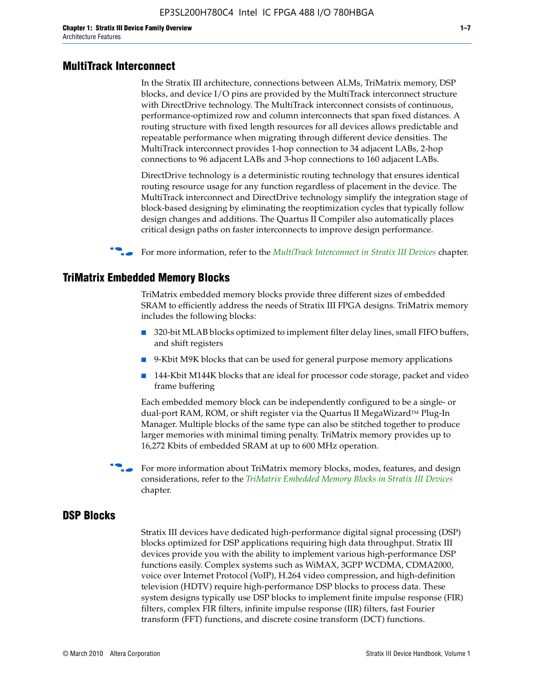#### **MultiTrack Interconnect**

In the Stratix III architecture, connections between ALMs, TriMatrix memory, DSP blocks, and device I/O pins are provided by the MultiTrack interconnect structure with DirectDrive technology. The MultiTrack interconnect consists of continuous, performance-optimized row and column interconnects that span fixed distances. A routing structure with fixed length resources for all devices allows predictable and repeatable performance when migrating through different device densities. The MultiTrack interconnect provides 1-hop connection to 34 adjacent LABs, 2-hop connections to 96 adjacent LABs and 3-hop connections to 160 adjacent LABs.

DirectDrive technology is a deterministic routing technology that ensures identical routing resource usage for any function regardless of placement in the device. The MultiTrack interconnect and DirectDrive technology simplify the integration stage of block-based designing by eliminating the reoptimization cycles that typically follow design changes and additions. The Quartus II Compiler also automatically places critical design paths on faster interconnects to improve design performance.

#### **For more information, refer to the** *[MultiTrack Interconnect in Stratix III Devices](http://www.altera.com/literature/hb/stx3/stx3_siii51003.pdf)* **chapter.**

#### **TriMatrix Embedded Memory Blocks**

TriMatrix embedded memory blocks provide three different sizes of embedded SRAM to efficiently address the needs of Stratix III FPGA designs. TriMatrix memory includes the following blocks:

- 320-bit MLAB blocks optimized to implement filter delay lines, small FIFO buffers, and shift registers
- 9-Kbit M9K blocks that can be used for general purpose memory applications
- 144-Kbit M144K blocks that are ideal for processor code storage, packet and video frame buffering

Each embedded memory block can be independently configured to be a single- or dual-port RAM, ROM, or shift register via the Quartus II MegaWizard™ Plug-In Manager. Multiple blocks of the same type can also be stitched together to produce larger memories with minimal timing penalty. TriMatrix memory provides up to 16,272 Kbits of embedded SRAM at up to 600 MHz operation.

For more information about TriMatrix memory blocks, modes, features, and design considerations, refer to the *[TriMatrix Embedded Memory Blocks in Stratix III Devices](http://www.altera.com/literature/hb/stx3/stx3_siii51004.pdf)* chapter.

#### **DSP Blocks**

Stratix III devices have dedicated high-performance digital signal processing (DSP) blocks optimized for DSP applications requiring high data throughput. Stratix III devices provide you with the ability to implement various high-performance DSP functions easily. Complex systems such as WiMAX, 3GPP WCDMA, CDMA2000, voice over Internet Protocol (VoIP), H.264 video compression, and high-definition television (HDTV) require high-performance DSP blocks to process data. These system designs typically use DSP blocks to implement finite impulse response (FIR) filters, complex FIR filters, infinite impulse response (IIR) filters, fast Fourier transform (FFT) functions, and discrete cosine transform (DCT) functions.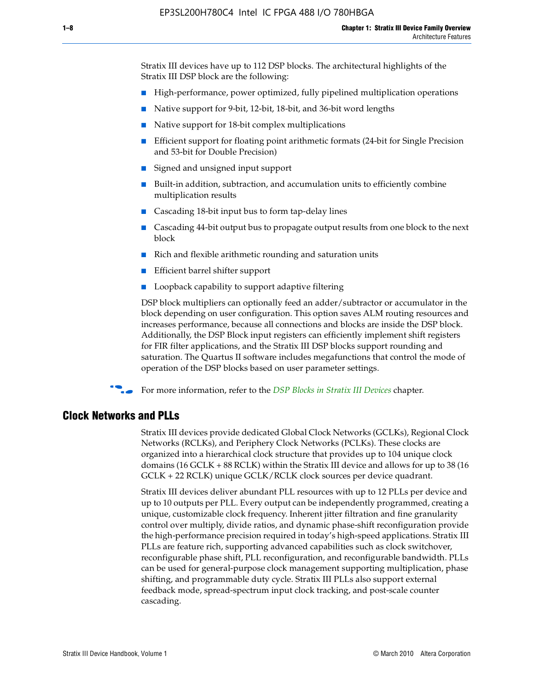Stratix III devices have up to 112 DSP blocks. The architectural highlights of the Stratix III DSP block are the following:

- High-performance, power optimized, fully pipelined multiplication operations
- Native support for 9-bit, 12-bit, 18-bit, and 36-bit word lengths
- Native support for 18-bit complex multiplications
- Efficient support for floating point arithmetic formats (24-bit for Single Precision and 53-bit for Double Precision)
- Signed and unsigned input support
- Built-in addition, subtraction, and accumulation units to efficiently combine multiplication results
- Cascading 18-bit input bus to form tap-delay lines
- Cascading 44-bit output bus to propagate output results from one block to the next block
- Rich and flexible arithmetic rounding and saturation units
- Efficient barrel shifter support
- Loopback capability to support adaptive filtering

DSP block multipliers can optionally feed an adder/subtractor or accumulator in the block depending on user configuration. This option saves ALM routing resources and increases performance, because all connections and blocks are inside the DSP block. Additionally, the DSP Block input registers can efficiently implement shift registers for FIR filter applications, and the Stratix III DSP blocks support rounding and saturation. The Quartus II software includes megafunctions that control the mode of operation of the DSP blocks based on user parameter settings.

f For more information, refer to the *[DSP Blocks in Stratix III Devices](http://www.altera.com/literature/hb/stx3/stx3_siii51005.pdf)* chapter.

#### **Clock Networks and PLLs**

Stratix III devices provide dedicated Global Clock Networks (GCLKs), Regional Clock Networks (RCLKs), and Periphery Clock Networks (PCLKs). These clocks are organized into a hierarchical clock structure that provides up to 104 unique clock domains (16 GCLK + 88 RCLK) within the Stratix III device and allows for up to 38 (16 GCLK + 22 RCLK) unique GCLK/RCLK clock sources per device quadrant.

Stratix III devices deliver abundant PLL resources with up to 12 PLLs per device and up to 10 outputs per PLL. Every output can be independently programmed, creating a unique, customizable clock frequency. Inherent jitter filtration and fine granularity control over multiply, divide ratios, and dynamic phase-shift reconfiguration provide the high-performance precision required in today's high-speed applications. Stratix III PLLs are feature rich, supporting advanced capabilities such as clock switchover, reconfigurable phase shift, PLL reconfiguration, and reconfigurable bandwidth. PLLs can be used for general-purpose clock management supporting multiplication, phase shifting, and programmable duty cycle. Stratix III PLLs also support external feedback mode, spread-spectrum input clock tracking, and post-scale counter cascading.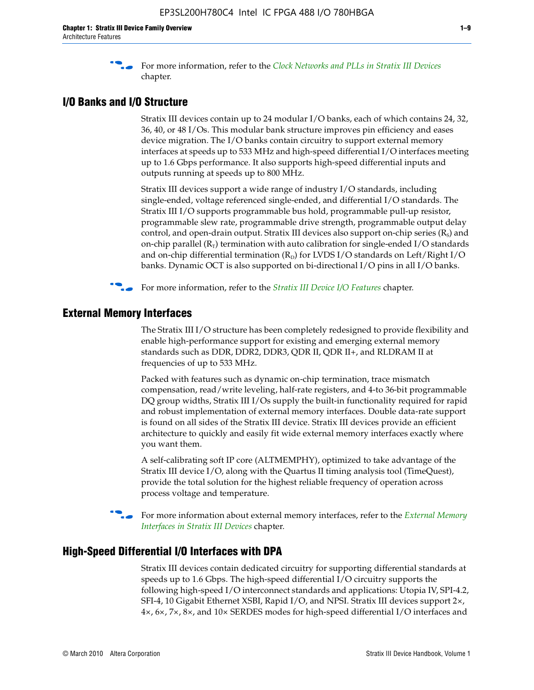f For more information, refer to the *[Clock Networks and PLLs in Stratix III Devices](http://www.altera.com/literature/hb/stx3/stx3_siii51006.pdf)* chapter.

## **I/O Banks and I/O Structure**

Stratix III devices contain up to 24 modular I/O banks, each of which contains 24, 32, 36, 40, or 48 I/Os. This modular bank structure improves pin efficiency and eases device migration. The I/O banks contain circuitry to support external memory interfaces at speeds up to 533 MHz and high-speed differential I/O interfaces meeting up to 1.6 Gbps performance. It also supports high-speed differential inputs and outputs running at speeds up to 800 MHz.

Stratix III devices support a wide range of industry I/O standards, including single-ended, voltage referenced single-ended, and differential I/O standards. The Stratix III I/O supports programmable bus hold, programmable pull-up resistor, programmable slew rate, programmable drive strength, programmable output delay control, and open-drain output. Stratix III devices also support on-chip series  $(R<sub>s</sub>)$  and on-chip parallel  $(R_T)$  termination with auto calibration for single-ended I/O standards and on-chip differential termination  $(R_D)$  for LVDS I/O standards on Left/Right I/O banks. Dynamic OCT is also supported on bi-directional I/O pins in all I/O banks.

**For more information, refer to the** *[Stratix III Device I/O Features](http://www.altera.com/literature/hb/stx3/stx3_siii51007.pdf)* **chapter.** 

## **External Memory Interfaces**

The Stratix III I/O structure has been completely redesigned to provide flexibility and enable high-performance support for existing and emerging external memory standards such as DDR, DDR2, DDR3, QDR II, QDR II+, and RLDRAM II at frequencies of up to 533 MHz.

Packed with features such as dynamic on-chip termination, trace mismatch compensation, read/write leveling, half-rate registers, and 4-to 36-bit programmable DQ group widths, Stratix III I/Os supply the built-in functionality required for rapid and robust implementation of external memory interfaces. Double data-rate support is found on all sides of the Stratix III device. Stratix III devices provide an efficient architecture to quickly and easily fit wide external memory interfaces exactly where you want them.

A self-calibrating soft IP core (ALTMEMPHY), optimized to take advantage of the Stratix III device I/O, along with the Quartus II timing analysis tool (TimeQuest), provide the total solution for the highest reliable frequency of operation across process voltage and temperature.

f For more information about external memory interfaces, refer to the *[External Memory](http://www.altera.com/literature/hb/stx3/stx3_siii51008.pdf)  [Interfaces in Stratix III Devices](http://www.altera.com/literature/hb/stx3/stx3_siii51008.pdf)* chapter.

#### **High-Speed Differential I/O Interfaces with DPA**

Stratix III devices contain dedicated circuitry for supporting differential standards at speeds up to 1.6 Gbps. The high-speed differential I/O circuitry supports the following high-speed I/O interconnect standards and applications: Utopia IV, SPI-4.2, SFI-4, 10 Gigabit Ethernet XSBI, Rapid I/O, and NPSI. Stratix III devices support 2×, 4×, 6×, 7×, 8×, and 10× SERDES modes for high-speed differential I/O interfaces and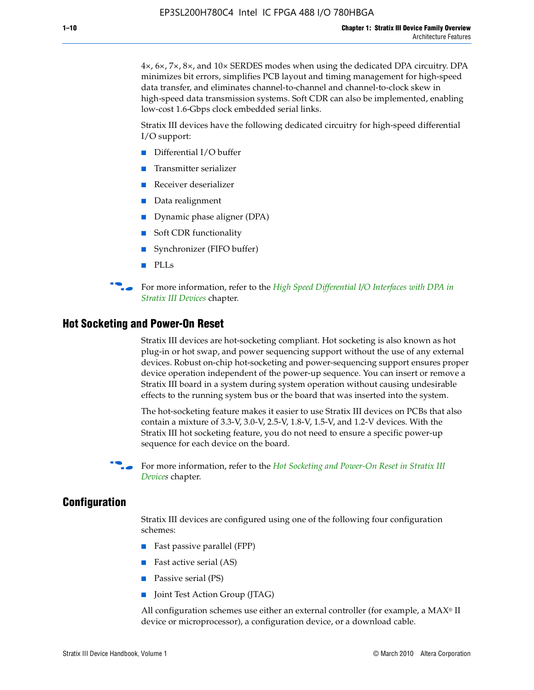4×, 6×, 7×, 8×, and 10× SERDES modes when using the dedicated DPA circuitry. DPA minimizes bit errors, simplifies PCB layout and timing management for high-speed data transfer, and eliminates channel-to-channel and channel-to-clock skew in high-speed data transmission systems. Soft CDR can also be implemented, enabling low-cost 1.6-Gbps clock embedded serial links.

Stratix III devices have the following dedicated circuitry for high-speed differential I/O support:

- Differential I/O buffer
- Transmitter serializer
- Receiver deserializer
- Data realignment
- Dynamic phase aligner (DPA)
- Soft CDR functionality
- Synchronizer (FIFO buffer)
- PLLs

**for more information, refer to the** *High Speed Differential I/O Interfaces with DPA in [Stratix III Devices](http://www.altera.com/literature/hb/stx3/stx3_siii51009.pdf)* chapter.

#### **Hot Socketing and Power-On Reset**

Stratix III devices are hot-socketing compliant. Hot socketing is also known as hot plug-in or hot swap, and power sequencing support without the use of any external devices. Robust on-chip hot-socketing and power-sequencing support ensures proper device operation independent of the power-up sequence. You can insert or remove a Stratix III board in a system during system operation without causing undesirable effects to the running system bus or the board that was inserted into the system.

The hot-socketing feature makes it easier to use Stratix III devices on PCBs that also contain a mixture of 3.3-V, 3.0-V, 2.5-V, 1.8-V, 1.5-V, and 1.2-V devices. With the Stratix III hot socketing feature, you do not need to ensure a specific power-up sequence for each device on the board.

f For more information, refer to the *[Hot Socketing and Power-On Reset in Stratix III](http://www.altera.com/literature/hb/stx3/stx3_siii51010.pdf)  [Device](http://www.altera.com/literature/hb/stx3/stx3_siii51010.pdf)s* chapter.

#### **Configuration**

Stratix III devices are configured using one of the following four configuration schemes:

- Fast passive parallel (FPP)
- Fast active serial (AS)
- Passive serial (PS)
- Joint Test Action Group (JTAG)

All configuration schemes use either an external controller (for example, a  $MAX<sup>®</sup>$  II device or microprocessor), a configuration device, or a download cable.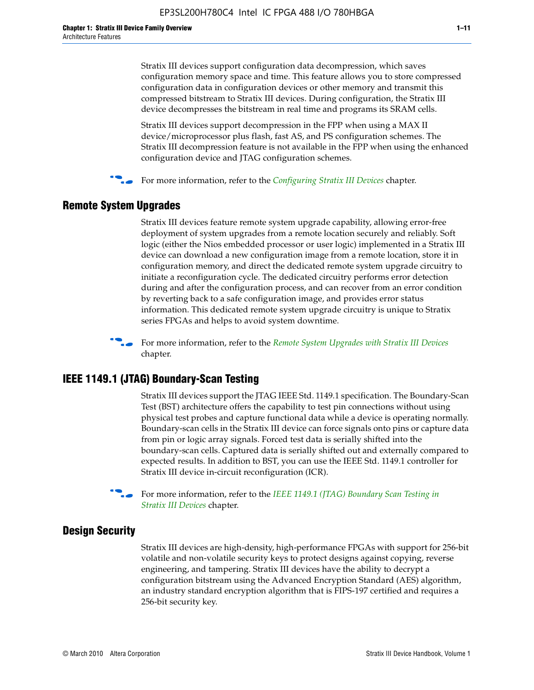Stratix III devices support configuration data decompression, which saves configuration memory space and time. This feature allows you to store compressed configuration data in configuration devices or other memory and transmit this compressed bitstream to Stratix III devices. During configuration, the Stratix III device decompresses the bitstream in real time and programs its SRAM cells.

Stratix III devices support decompression in the FPP when using a MAX II device/microprocessor plus flash, fast AS, and PS configuration schemes. The Stratix III decompression feature is not available in the FPP when using the enhanced configuration device and JTAG configuration schemes.

For more information, refer to the *[Configuring Stratix III Devices](http://www.altera.com/literature/hb/stx3/stx3_siii51011.pdf)* chapter.

### **Remote System Upgrades**

Stratix III devices feature remote system upgrade capability, allowing error-free deployment of system upgrades from a remote location securely and reliably. Soft logic (either the Nios embedded processor or user logic) implemented in a Stratix III device can download a new configuration image from a remote location, store it in configuration memory, and direct the dedicated remote system upgrade circuitry to initiate a reconfiguration cycle. The dedicated circuitry performs error detection during and after the configuration process, and can recover from an error condition by reverting back to a safe configuration image, and provides error status information. This dedicated remote system upgrade circuitry is unique to Stratix series FPGAs and helps to avoid system downtime.



**For more information, refer to the** *[Remote System Upgrades with Stratix III Devices](http://www.altera.com/literature/hb/stx3/stx3_siii51012.pdf)* chapter.

#### **IEEE 1149.1 (JTAG) Boundary-Scan Testing**

Stratix III devices support the JTAG IEEE Std. 1149.1 specification. The Boundary-Scan Test (BST) architecture offers the capability to test pin connections without using physical test probes and capture functional data while a device is operating normally. Boundary-scan cells in the Stratix III device can force signals onto pins or capture data from pin or logic array signals. Forced test data is serially shifted into the boundary-scan cells. Captured data is serially shifted out and externally compared to expected results. In addition to BST, you can use the IEEE Std. 1149.1 controller for Stratix III device in-circuit reconfiguration (ICR).

For more information, refer to the *IEEE 1149.1 (JTAG) Boundary Scan Testing in [Stratix III Devices](http://www.altera.com/literature/hb/stx3/stx3_siii51013.pdf)* chapter.

#### **Design Security**

Stratix III devices are high-density, high-performance FPGAs with support for 256-bit volatile and non-volatile security keys to protect designs against copying, reverse engineering, and tampering. Stratix III devices have the ability to decrypt a configuration bitstream using the Advanced Encryption Standard (AES) algorithm, an industry standard encryption algorithm that is FIPS-197 certified and requires a 256-bit security key.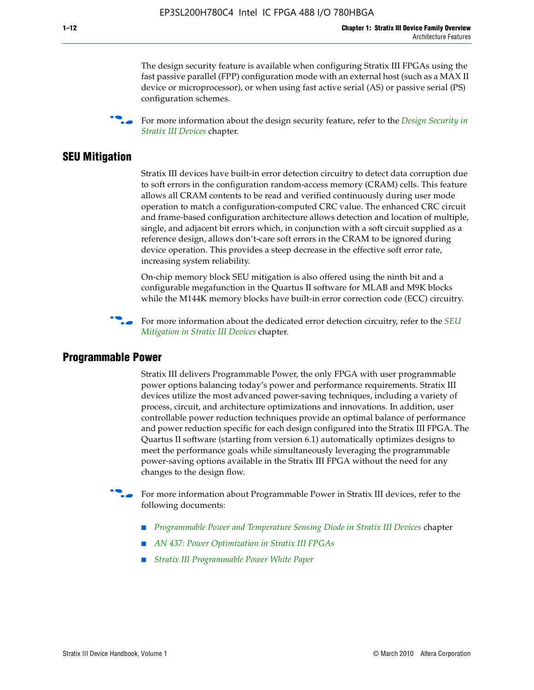The design security feature is available when configuring Stratix III FPGAs using the fast passive parallel (FPP) configuration mode with an external host (such as a MAX II device or microprocessor), or when using fast active serial (AS) or passive serial (PS) configuration schemes.

f For more information about the design security feature, refer to the *[Design Security in](http://www.altera.com/literature/hb/stx3/stx3_siii51014.pdf)  [Stratix III Devices](http://www.altera.com/literature/hb/stx3/stx3_siii51014.pdf)* chapter.

#### **SEU Mitigation**

Stratix III devices have built-in error detection circuitry to detect data corruption due to soft errors in the configuration random-access memory (CRAM) cells. This feature allows all CRAM contents to be read and verified continuously during user mode operation to match a configuration-computed CRC value. The enhanced CRC circuit and frame-based configuration architecture allows detection and location of multiple, single, and adjacent bit errors which, in conjunction with a soft circuit supplied as a reference design, allows don't-care soft errors in the CRAM to be ignored during device operation. This provides a steep decrease in the effective soft error rate, increasing system reliability.

On-chip memory block SEU mitigation is also offered using the ninth bit and a configurable megafunction in the Quartus II software for MLAB and M9K blocks while the M144K memory blocks have built-in error correction code (ECC) circuitry.

For more information about the dedicated error detection circuitry, refer to the *SEU [Mitigation in Stratix III Devices](http://www.altera.com/literature/hb/stx3/stx3_siii51015.pdf)* chapter.

#### **Programmable Power**

Stratix III delivers Programmable Power, the only FPGA with user programmable power options balancing today's power and performance requirements. Stratix III devices utilize the most advanced power-saving techniques, including a variety of process, circuit, and architecture optimizations and innovations. In addition, user controllable power reduction techniques provide an optimal balance of performance and power reduction specific for each design configured into the Stratix III FPGA. The Quartus II software (starting from version 6.1) automatically optimizes designs to meet the performance goals while simultaneously leveraging the programmable power-saving options available in the Stratix III FPGA without the need for any changes to the design flow.

For more information about Programmable Power in Stratix III devices, refer to the following documents:

- *[Programmable Power and Temperature Sensing Diode in Stratix III Devices](http://www.altera.com/literature/hb/stx3/stx3_siii51016.pdf)* chapter
- *[AN 437: Power Optimization in Stratix III FPGAs](http://www.altera.com/literature/an/AN437.pdf)*
- *[Stratix III Programmable Power White Paper](http://www.altera.com/literature/wp/wp-01006.pdf)*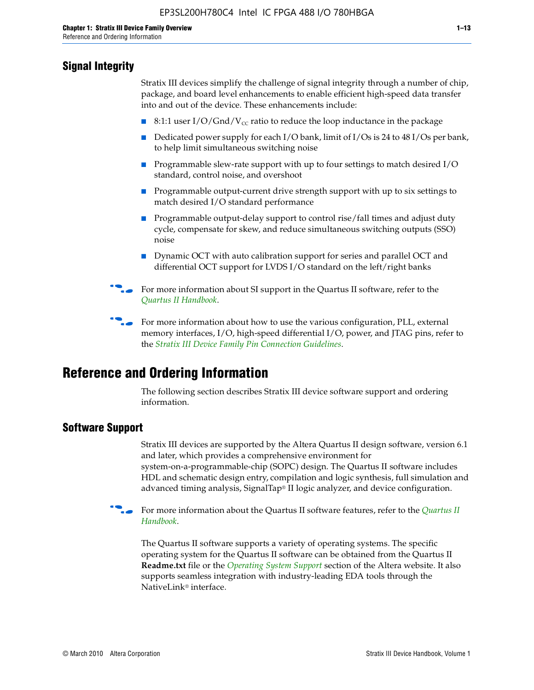## **Signal Integrity**

Stratix III devices simplify the challenge of signal integrity through a number of chip, package, and board level enhancements to enable efficient high-speed data transfer into and out of the device. These enhancements include:

- 8:1:1 user I/O/Gnd/V<sub>cc</sub> ratio to reduce the loop inductance in the package
- Dedicated power supply for each I/O bank, limit of I/Os is 24 to 48 I/Os per bank, to help limit simultaneous switching noise
- Programmable slew-rate support with up to four settings to match desired I/O standard, control noise, and overshoot
- Programmable output-current drive strength support with up to six settings to match desired I/O standard performance
- Programmable output-delay support to control rise/fall times and adjust duty cycle, compensate for skew, and reduce simultaneous switching outputs (SSO) noise
- Dynamic OCT with auto calibration support for series and parallel OCT and differential OCT support for LVDS I/O standard on the left/right banks
- For mor[e](http://www.altera.com/literature/hb/qts/quartusii_handbook.pdf) information about SI support in the Quartus II software, refer to the *[Quartus II Handbook](http://www.altera.com/literature/hb/qts/quartusii_handbook.pdf)*.

For more information about how to use the various configuration, PLL, external memory interfaces, I/O, high-speed differential I/O, power, and JTAG pins, refer to the *[Stratix III Device Family Pin Connection Guidelines](http://www.altera.com/literature/dp/stx3/PCG-01004.pdf)*.

# **Reference and Ordering Information**

The following section describes Stratix III device software support and ordering information.

## **Software Support**

Stratix III devices are supported by the Altera Quartus II design software, version 6.1 and later, which provides a comprehensive environment for system-on-a-programmable-chip (SOPC) design. The Quartus II software includes HDL and schematic design entry, compilation and logic synthesis, full simulation and advanced timing analysis, SignalTap® II logic analyzer, and device configuration.

**For more information about the [Quartus II](http://www.altera.com/literature/hb/qts/quartusii_handbook.pdf) software features, refer to the** *Quartus II* **<b>Fig. 7** *[Handbook](http://www.altera.com/literature/hb/qts/quartusii_handbook.pdf)*.

The Quartus II software supports a variety of operating systems. The specific operating system for the Quartus II software can be obtained from the Quartus II **Readme.txt** file or the *[Operating System Support](http://www.altera.com/support/software/os_support/oss-index.html)* section of the Altera website. It also supports seamless integration with industry-leading EDA tools through the NativeLink® interface.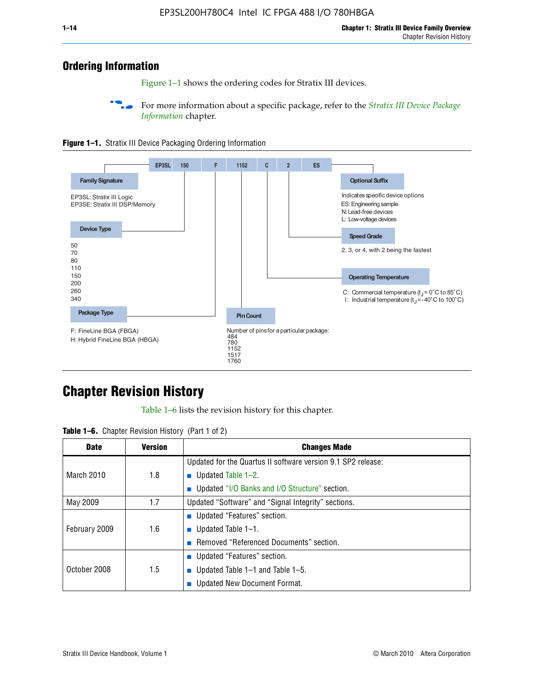# **Ordering Information**

Figure 1–1 shows the ordering codes for Stratix III devices.

For more information about a specific package, refer to the *Stratix III Device Package [Information](http://www.altera.com/literature/hb/stx3/stx3_siii51017.pdf)* chapter.





# **[C](http://www.altera.com/literature/hb/stx3/stx3_siii51012.pdf)hapter Revision History**

Table 1–6 lists the revision history for this chapter.

| <b>Table 1–6.</b> Chapter Revision History (Part 1 of 2) |  |  |  |  |  |
|----------------------------------------------------------|--|--|--|--|--|
|----------------------------------------------------------|--|--|--|--|--|

| <b>Date</b>       | <b>Version</b> | <b>Changes Made</b>                                          |
|-------------------|----------------|--------------------------------------------------------------|
|                   |                | Updated for the Quartus II software version 9.1 SP2 release: |
| <b>March 2010</b> | 1.8            | <b>u</b> Updated Table $1-2$ .                               |
|                   |                | ■ Updated "I/O Banks and I/O Structure" section.             |
| May 2009          | 1.7            | Updated "Software" and "Signal Integrity" sections.          |
|                   |                | Updated "Features" section.                                  |
| February 2009     | 1.6            | <b>u</b> Updated Table $1-1$ .                               |
|                   |                | Removed "Referenced Documents" section.                      |
|                   |                | ■ Updated "Features" section.                                |
| October 2008      | 1.5            | ■ Updated Table 1–1 and Table 1–5.                           |
|                   |                | <b>Updated New Document Format.</b>                          |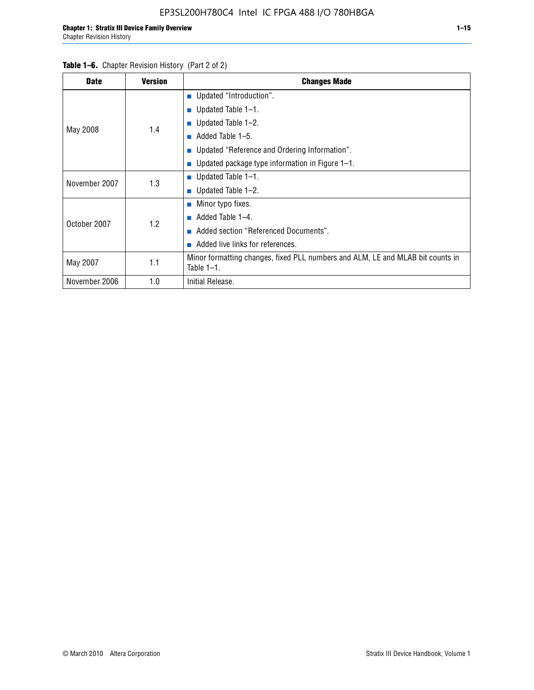| <b>Date</b>   | <b>Version</b> | <b>Changes Made</b>                                                                             |
|---------------|----------------|-------------------------------------------------------------------------------------------------|
|               |                | <b>Updated "Introduction".</b>                                                                  |
|               |                | $\blacksquare$ Updated Table 1-1.                                                               |
|               | 1.4            | ■ Updated Table $1-2$ .                                                                         |
| May 2008      |                | Added Table 1-5.<br><b>COL</b>                                                                  |
|               |                | ■ Updated "Reference and Ordering Information".                                                 |
|               |                | Updated package type information in Figure 1-1.                                                 |
| November 2007 | 1.3            | $\blacksquare$ Updated Table 1-1.                                                               |
|               |                | ■ Updated Table $1-2$ .                                                                         |
|               |                | $\blacksquare$ Minor typo fixes.                                                                |
| October 2007  | 1.2            | Added Table 1-4.<br><b>COL</b>                                                                  |
|               |                | Added section "Referenced Documents".                                                           |
|               |                | Added live links for references.                                                                |
| May 2007      | 1.1            | Minor formatting changes, fixed PLL numbers and ALM, LE and MLAB bit counts in<br>Table $1-1$ . |
| November 2006 | 1.0            | Initial Release.                                                                                |